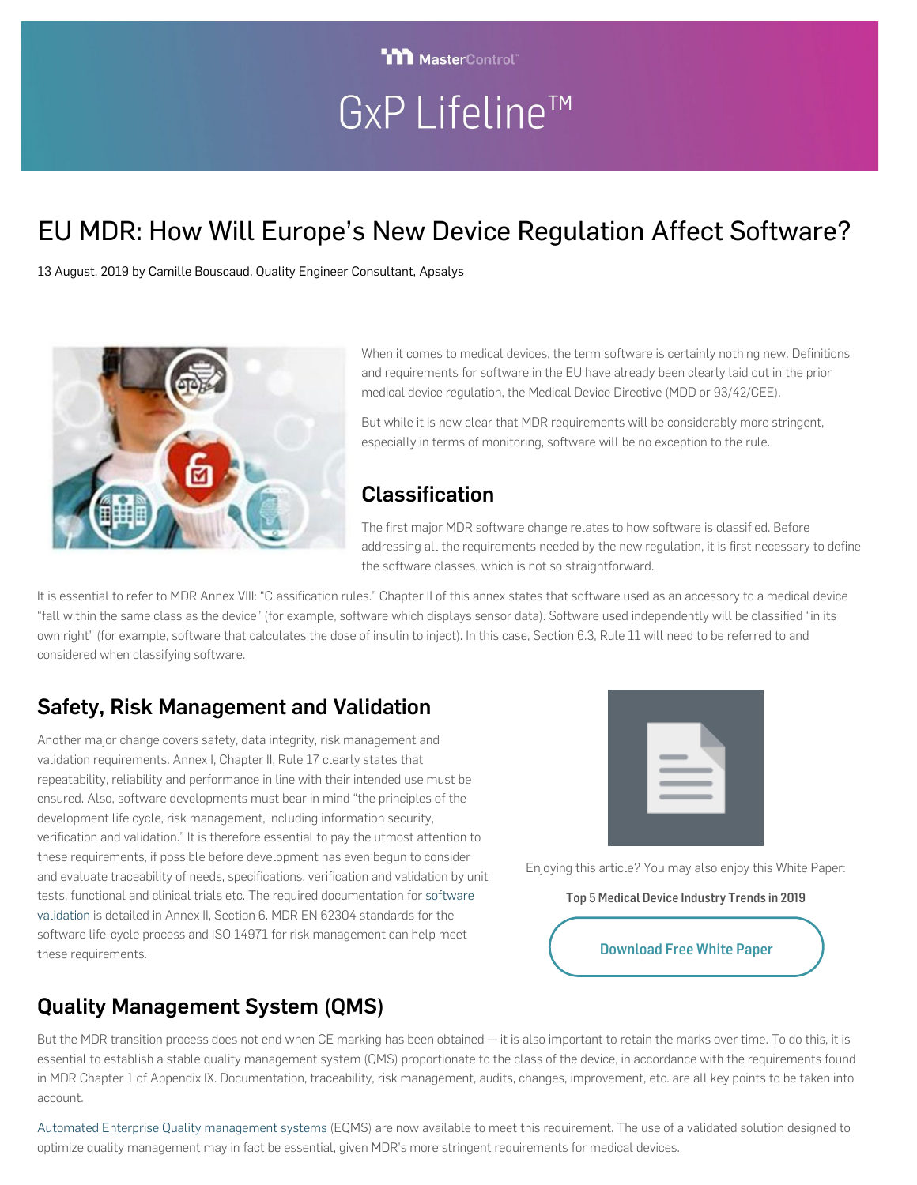# GxP Lifeline™

**TITI MasterControl**®

# EU MDR: How Will Europe's New Device Regulation Affect Software?

13 August, 2019 by Camille Bouscaud, Quality Engineer Consultant, Apsalys



When it comes to medical devices, the term software is certainly nothing new. Definitions and requirements for software in the EU have already been clearly laid out in the prior medical device regulation, the Medical Device Directive (MDD or 93/42/CEE).

But while it is now clear that MDR requirements will be considerably more stringent, especially in terms of monitoring, software will be no exception to the rule.

### Classification

The first major MDR software change relates to how software is classified. Before addressing all the requirements needed by the new regulation, it is first necessary to define the software classes, which is not so straightforward.

It is essential to refer to MDR Annex VIII: "Classification rules." Chapter II of this annex states that software used as an accessory to a medical device "fall within the same class as the device" (for example, software which displays sensor data). Software used independently will be classified "in its own right" (for example, software that calculates the dose of insulin to inject). In this case, Section 6.3, Rule 11 will need to be referred to and considered when classifying software.

## Safety, Risk Management and Validation

Another major change covers safety, data integrity, risk management and validation requirements. Annex I, Chapter II, Rule 17 clearly states that repeatability, reliability and performance in line with their intended use must be ensured. Also, software developments must bear in mind "the principles of the development life cycle, risk management, including information security, verification and validation." It is therefore essential to pay the utmost attention to these requirements, if possible before development has even begun to consider and evaluate traceability of needs, specifications, verification and validation by unit tests, functional and clinical trials etc. The required documentation for [software](https://www.mastercontrol.com/validation/) [validation](https://www.mastercontrol.com/validation/) is detailed in Annex II, Section 6. MDR EN 62304 standards for the software life-cycle process and ISO 14971 for risk management can help meet these requirements.



Enjoying this article? You may also enjoy this White Paper:

Top 5 Medical Device Industry Trends in 2019

[Download Free White Paper](http://www.mastercontrol.com/resource/req_form.cfm?dl=813)

# Quality Management System (QMS)

But the MDR transition process does not end when CE marking has been obtained — it is also important to retain the marks over time. To do this, it is essential to establish a stable quality management system (QMS) proportionate to the class of the device, in accordance with the requirements found in MDR Chapter 1 of Appendix IX. Documentation, traceability, risk management, audits, changes, improvement, etc. are all key points to be taken into account.

[Automated Enterprise Quality management systems](https://www.mastercontrol.com/quality-management-software/) (EQMS) are now available to meet this requirement. The use of a validated solution designed to optimize quality management may in fact be essential, given MDR's more stringent requirements for medical devices.